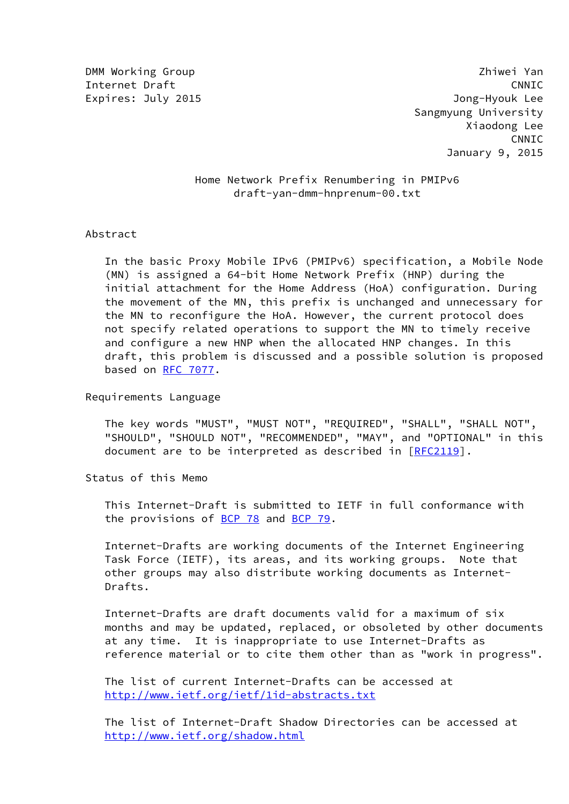## Home Network Prefix Renumbering in PMIPv6 draft-yan-dmm-hnprenum-00.txt

Abstract

 In the basic Proxy Mobile IPv6 (PMIPv6) specification, a Mobile Node (MN) is assigned a 64-bit Home Network Prefix (HNP) during the initial attachment for the Home Address (HoA) configuration. During the movement of the MN, this prefix is unchanged and unnecessary for the MN to reconfigure the HoA. However, the current protocol does not specify related operations to support the MN to timely receive and configure a new HNP when the allocated HNP changes. In this draft, this problem is discussed and a possible solution is proposed based on [RFC 7077](https://datatracker.ietf.org/doc/pdf/rfc7077).

Requirements Language

 The key words "MUST", "MUST NOT", "REQUIRED", "SHALL", "SHALL NOT", "SHOULD", "SHOULD NOT", "RECOMMENDED", "MAY", and "OPTIONAL" in this document are to be interpreted as described in [[RFC2119\]](https://datatracker.ietf.org/doc/pdf/rfc2119).

Status of this Memo

 This Internet-Draft is submitted to IETF in full conformance with the provisions of [BCP 78](https://datatracker.ietf.org/doc/pdf/bcp78) and [BCP 79](https://datatracker.ietf.org/doc/pdf/bcp79).

 Internet-Drafts are working documents of the Internet Engineering Task Force (IETF), its areas, and its working groups. Note that other groups may also distribute working documents as Internet- Drafts.

 Internet-Drafts are draft documents valid for a maximum of six months and may be updated, replaced, or obsoleted by other documents at any time. It is inappropriate to use Internet-Drafts as reference material or to cite them other than as "work in progress".

 The list of current Internet-Drafts can be accessed at <http://www.ietf.org/ietf/1id-abstracts.txt>

 The list of Internet-Draft Shadow Directories can be accessed at <http://www.ietf.org/shadow.html>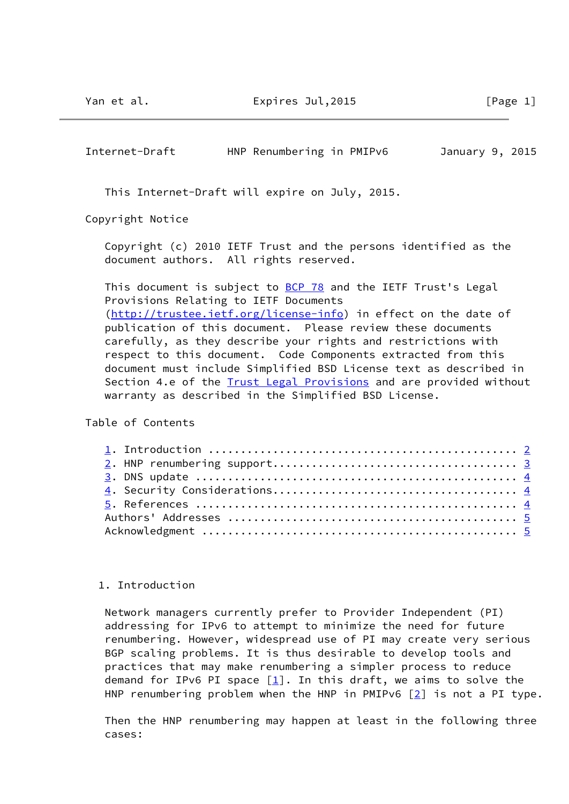<span id="page-1-0"></span>

| Internet-Draft | HNP Renumbering in PMIPv6 | January 9, 2015 |
|----------------|---------------------------|-----------------|
|----------------|---------------------------|-----------------|

This Internet-Draft will expire on July, 2015.

Copyright Notice

 Copyright (c) 2010 IETF Trust and the persons identified as the document authors. All rights reserved.

This document is subject to **BCP 78** and the IETF Trust's Legal Provisions Relating to IETF Documents [\(http://trustee.ietf.org/license-info](http://trustee.ietf.org/license-info)) in effect on the date of publication of this document. Please review these documents carefully, as they describe your rights and restrictions with respect to this document. Code Components extracted from this document must include Simplified BSD License text as described in Section 4.e of the **[Trust Legal Provisions](https://trustee.ietf.org/license-info)** and are provided without warranty as described in the Simplified BSD License.

Table of Contents

## 1. Introduction

 Network managers currently prefer to Provider Independent (PI) addressing for IPv6 to attempt to minimize the need for future renumbering. However, widespread use of PI may create very serious BGP scaling problems. It is thus desirable to develop tools and practices that may make renumbering a simpler process to reduce demand for IPv6 PI space  $[1]$ . In this draft, we aims to solve the HNP renumbering problem when the HNP in PMIPv6  $[2]$  $[2]$  is not a PI type.

 Then the HNP renumbering may happen at least in the following three cases: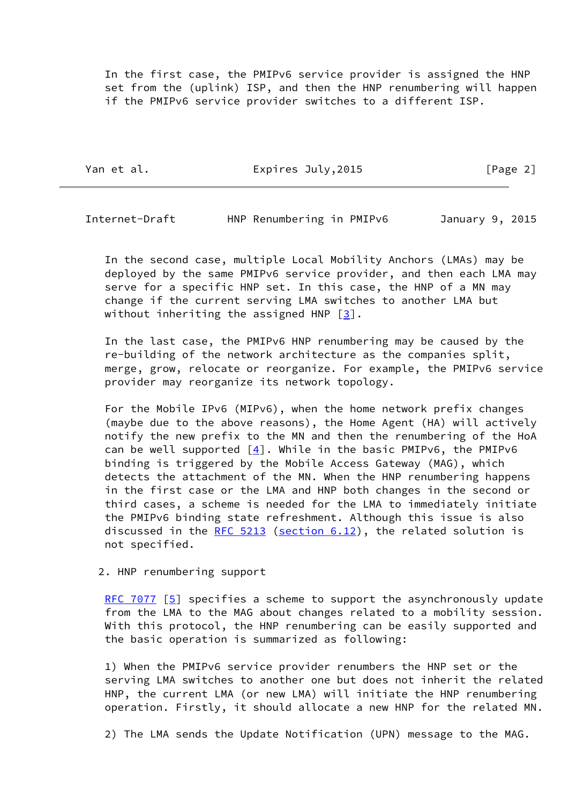In the first case, the PMIPv6 service provider is assigned the HNP set from the (uplink) ISP, and then the HNP renumbering will happen if the PMIPv6 service provider switches to a different ISP.

Yan et al. **Expires July, 2015** [Page 2]

<span id="page-2-0"></span>Internet-Draft HNP Renumbering in PMIPv6 January 9, 2015

 In the second case, multiple Local Mobility Anchors (LMAs) may be deployed by the same PMIPv6 service provider, and then each LMA may serve for a specific HNP set. In this case, the HNP of a MN may change if the current serving LMA switches to another LMA but without inheriting the assigned HNP  $[3]$  $[3]$ .

 In the last case, the PMIPv6 HNP renumbering may be caused by the re-building of the network architecture as the companies split, merge, grow, relocate or reorganize. For example, the PMIPv6 service provider may reorganize its network topology.

 For the Mobile IPv6 (MIPv6), when the home network prefix changes (maybe due to the above reasons), the Home Agent (HA) will actively notify the new prefix to the MN and then the renumbering of the HoA can be well supported  $[4]$  $[4]$ . While in the basic PMIPv6, the PMIPv6 binding is triggered by the Mobile Access Gateway (MAG), which detects the attachment of the MN. When the HNP renumbering happens in the first case or the LMA and HNP both changes in the second or third cases, a scheme is needed for the LMA to immediately initiate the PMIPv6 binding state refreshment. Although this issue is also discussed in the [RFC 5213](https://datatracker.ietf.org/doc/pdf/rfc5213) (section  $6.12$ ), the related solution is not specified.

2. HNP renumbering support

[RFC 7077](https://datatracker.ietf.org/doc/pdf/rfc7077) [\[5\]](#page-4-5) specifies a scheme to support the asynchronously update from the LMA to the MAG about changes related to a mobility session. With this protocol, the HNP renumbering can be easily supported and the basic operation is summarized as following:

 1) When the PMIPv6 service provider renumbers the HNP set or the serving LMA switches to another one but does not inherit the related HNP, the current LMA (or new LMA) will initiate the HNP renumbering operation. Firstly, it should allocate a new HNP for the related MN.

2) The LMA sends the Update Notification (UPN) message to the MAG.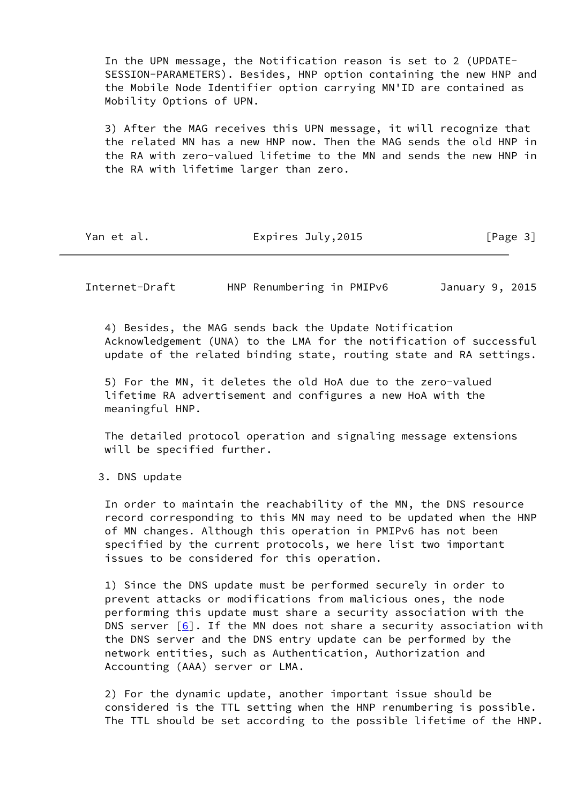In the UPN message, the Notification reason is set to 2 (UPDATE- SESSION-PARAMETERS). Besides, HNP option containing the new HNP and the Mobile Node Identifier option carrying MN'ID are contained as Mobility Options of UPN.

 3) After the MAG receives this UPN message, it will recognize that the related MN has a new HNP now. Then the MAG sends the old HNP in the RA with zero-valued lifetime to the MN and sends the new HNP in the RA with lifetime larger than zero.

Yan et al. **Expires July, 2015** [Page 3]

<span id="page-3-0"></span>Internet-Draft HNP Renumbering in PMIPv6 January 9, 2015

 4) Besides, the MAG sends back the Update Notification Acknowledgement (UNA) to the LMA for the notification of successful update of the related binding state, routing state and RA settings.

 5) For the MN, it deletes the old HoA due to the zero-valued lifetime RA advertisement and configures a new HoA with the meaningful HNP.

 The detailed protocol operation and signaling message extensions will be specified further.

3. DNS update

 In order to maintain the reachability of the MN, the DNS resource record corresponding to this MN may need to be updated when the HNP of MN changes. Although this operation in PMIPv6 has not been specified by the current protocols, we here list two important issues to be considered for this operation.

 1) Since the DNS update must be performed securely in order to prevent attacks or modifications from malicious ones, the node performing this update must share a security association with the DNS server  $[6]$  $[6]$ . If the MN does not share a security association with the DNS server and the DNS entry update can be performed by the network entities, such as Authentication, Authorization and Accounting (AAA) server or LMA.

 2) For the dynamic update, another important issue should be considered is the TTL setting when the HNP renumbering is possible. The TTL should be set according to the possible lifetime of the HNP.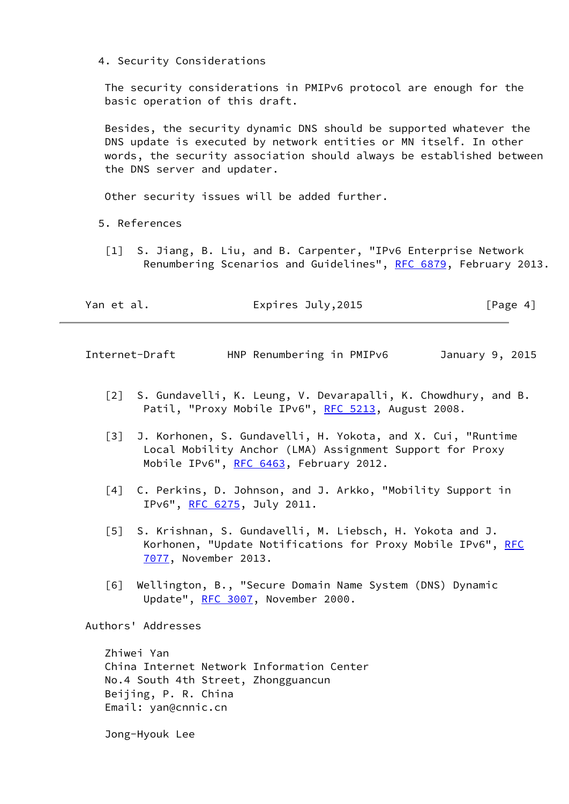4. Security Considerations

 The security considerations in PMIPv6 protocol are enough for the basic operation of this draft.

 Besides, the security dynamic DNS should be supported whatever the DNS update is executed by network entities or MN itself. In other words, the security association should always be established between the DNS server and updater.

Other security issues will be added further.

- <span id="page-4-1"></span> 5. References
	- [1] S. Jiang, B. Liu, and B. Carpenter, "IPv6 Enterprise Network Renumbering Scenarios and Guidelines", [RFC 6879](https://datatracker.ietf.org/doc/pdf/rfc6879), February 2013.

| Yan et al. | Expires July, 2015 | [Page 4] |
|------------|--------------------|----------|
|            |                    |          |

<span id="page-4-0"></span>Internet-Draft HNP Renumbering in PMIPv6 January 9, 2015

- <span id="page-4-2"></span> [2] S. Gundavelli, K. Leung, V. Devarapalli, K. Chowdhury, and B. Patil, "Proxy Mobile IPv6", [RFC 5213](https://datatracker.ietf.org/doc/pdf/rfc5213), August 2008.
- <span id="page-4-3"></span> [3] J. Korhonen, S. Gundavelli, H. Yokota, and X. Cui, "Runtime Local Mobility Anchor (LMA) Assignment Support for Proxy Mobile IPv6", [RFC 6463](https://datatracker.ietf.org/doc/pdf/rfc6463), February 2012.
- <span id="page-4-4"></span> [4] C. Perkins, D. Johnson, and J. Arkko, "Mobility Support in IPv6", [RFC 6275](https://datatracker.ietf.org/doc/pdf/rfc6275), July 2011.
- <span id="page-4-5"></span> [5] S. Krishnan, S. Gundavelli, M. Liebsch, H. Yokota and J. Korhonen, "Update Notifications for Proxy Mobile IPv6", [RFC](https://datatracker.ietf.org/doc/pdf/rfc7077) [7077](https://datatracker.ietf.org/doc/pdf/rfc7077), November 2013.
- <span id="page-4-6"></span> [6] Wellington, B., "Secure Domain Name System (DNS) Dynamic Update", [RFC 3007,](https://datatracker.ietf.org/doc/pdf/rfc3007) November 2000.

Authors' Addresses

 Zhiwei Yan China Internet Network Information Center No.4 South 4th Street, Zhongguancun Beijing, P. R. China Email: yan@cnnic.cn

Jong-Hyouk Lee